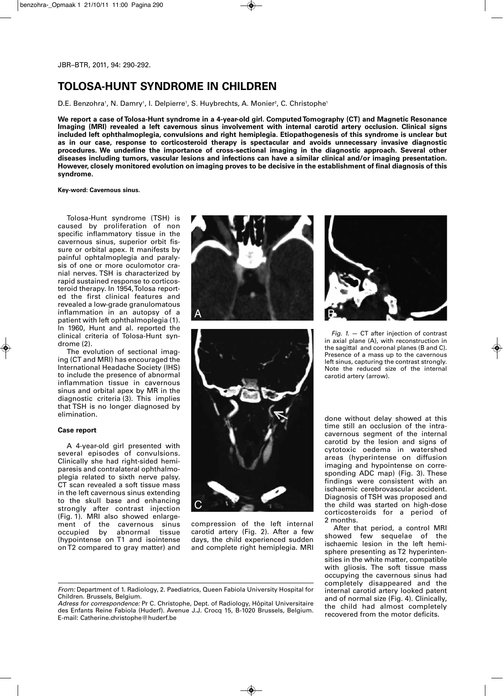# **TOLOSA-HUNT SYNDROME IN CHILDREN**

D.E. Benzohra', N. Damry', I. Delpierre', S. Huybrechts, A. Monier², C. Christophe'

**We report a case of Tolosa-Hunt syndrome in a 4-year-old girl. Computed Tomography (CT) and Magnetic Resonance Imaging (MRI) revealed a left cavernous sinus involvement with internal carotid artery occlusion. Clinical signs included left ophthalmoplegia, convulsions and right hemiplegia. Etiopathogenesis of this syndrome is unclear but as in our case, response to corticosteroid therapy is spectacular and avoids unnecessary invasive diagnostic procedures. We underline the importance of cross-sectional imaging in the diagnostic approach. Several other diseases including tumors, vascular lesions and infections can have a similar clinical and/or imaging presentation. However, closely monitored evolution on imaging proves to be decisive in the establishment of final diagnosis of this syndrome.**

**Key-word: Cavernous sinus.**

Tolosa-Hunt syndrome (TSH) is caused by proliferation of non specific inflammatory tissue in the cavernous sinus, superior orbit fissure or orbital apex. It manifests by painful ophtalmoplegia and paralysis of one or more oculomotor cranial nerves. TSH is characterized by rapid sustained response to corticosteroid therapy. In 1954, Tolosa reported the first clinical features and revealed a low-grade granulomatous inflammation in an autopsy of a patient with left ophthalmoplegia (1). In 1960, Hunt and al. reported the clinical criteria of Tolosa-Hunt syndrome (2).

The evolution of sectional imaging (CT and MRI) has encouraged the International Headache Society (IHS) to include the presence of abnormal inflammation tissue in cavernous sinus and orbital apex by MR in the diagnostic criteria (3). This implies that TSH is no longer diagnosed by elimination.

## **Case report**

A 4-year-old girl presented with several episodes of convulsions. Clinically she had right-sided hemiparesis and contralateral ophthalmoplegia related to sixth nerve palsy. CT scan revealed a soft tissue mass in the left cavernous sinus extending to the skull base and enhancing strongly after contrast injection (Fig. 1). MRI also showed enlargement of the cavernous sinus occupied by abnormal tissue (hypointense on T1 and isointense on T2 compared to gray matter) and





compression of the left internal carotid artery (Fig. 2). After a few days, the child experienced sudden and complete right hemiplegia. MRI



*Fig. 1.* — CT after injection of contrast in axial plane (A), with reconstruction in the sagittal and coronal planes (B and C). Presence of a mass up to the cavernous left sinus, capturing the contrast strongly. Note the reduced size of the internal carotid artery (arrow).

done without delay showed at this time still an occlusion of the intracavernous segment of the internal carotid by the lesion and signs of cytotoxic oedema in watershed areas (hyperintense on diffusion imaging and hypointense on corresponding ADC map) (Fig. 3). These findings were consistent with an ischaemic cerebrovascular accident. Diagnosis of TSH was proposed and the child was started on high-dose corticosteroids for a period of 2 months.

After that period, a control MRI showed few sequelae of the ischaemic lesion in the left hemisphere presenting as T2 hyperintensities in the white matter, compatible with gliosis. The soft tissue mass occupying the cavernous sinus had completely disappeared and the internal carotid artery looked patent and of normal size (Fig. 4). Clinically, the child had almost completely recovered from the motor deficits.

*From:* Department of 1. Radiology, 2. Paediatrics, Queen Fabiola University Hospital for Children. Brussels, Belgium.

*Adress for correspondence:* Pr C. Christophe, Dept. of Radiology, Hôpital Universitaire des Enfants Reine Fabiola (Huderf). Avenue J.J. Crocq 15, B-1020 Brussels, Belgium. E-mail: Catherine.christophe@huderf.be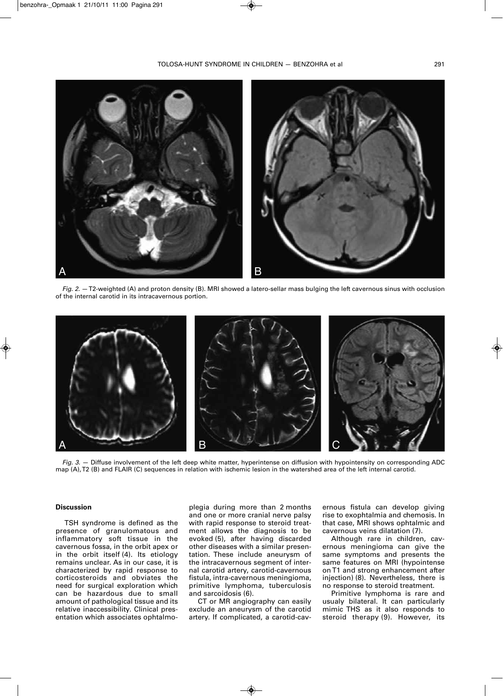

*Fig. 2.*  $-$  T2-weighted (A) and proton density (B). MRI showed a latero-sellar mass bulging the left cavernous sinus with occlusion of the internal carotid in its intracavernous portion.



*Fig. 3.* — Diffuse involvement of the left deep white matter, hyperintense on diffusion with hypointensity on corresponding ADC map (A), T2 (B) and FLAIR (C) sequences in relation with ischemic lesion in the watershed area of the left internal carotid.

## **Discussion**

TSH syndrome is defined as the presence of granulomatous and inflammatory soft tissue in the cavernous fossa, in the orbit apex or in the orbit itself (4). Its etiology remains unclear. As in our case, it is characterized by rapid response to corticosteroids and obviates the need for surgical exploration which can be hazardous due to small amount of pathological tissue and its relative inaccessibility. Clinical presentation which associates ophtalmo-

plegia during more than 2 months and one or more cranial nerve palsy with rapid response to steroid treatment allows the diagnosis to be evoked (5), after having discarded other diseases with a similar presentation. These include aneurysm of the intracavernous segment of internal carotid artery, carotid-cavernous fistula, intra-cavernous meningioma, primitive lymphoma, tuberculosis and sarcoidosis (6).

CT or MR angiography can easily exclude an aneurysm of the carotid artery. If complicated, a carotid-cavernous fistula can develop giving rise to exophtalmia and chemosis. In that case, MRI shows ophtalmic and cavernous veins dilatation (7).

Although rare in children, cavernous meningioma can give the same symptoms and presents the same features on MRI (hypointense on T1 and strong enhancement after injection) (8). Nevertheless, there is no response to steroid treatment.

Primitive lymphoma is rare and usualy bilateral. It can particularly mimic THS as it also responds to steroid therapy (9). However, its